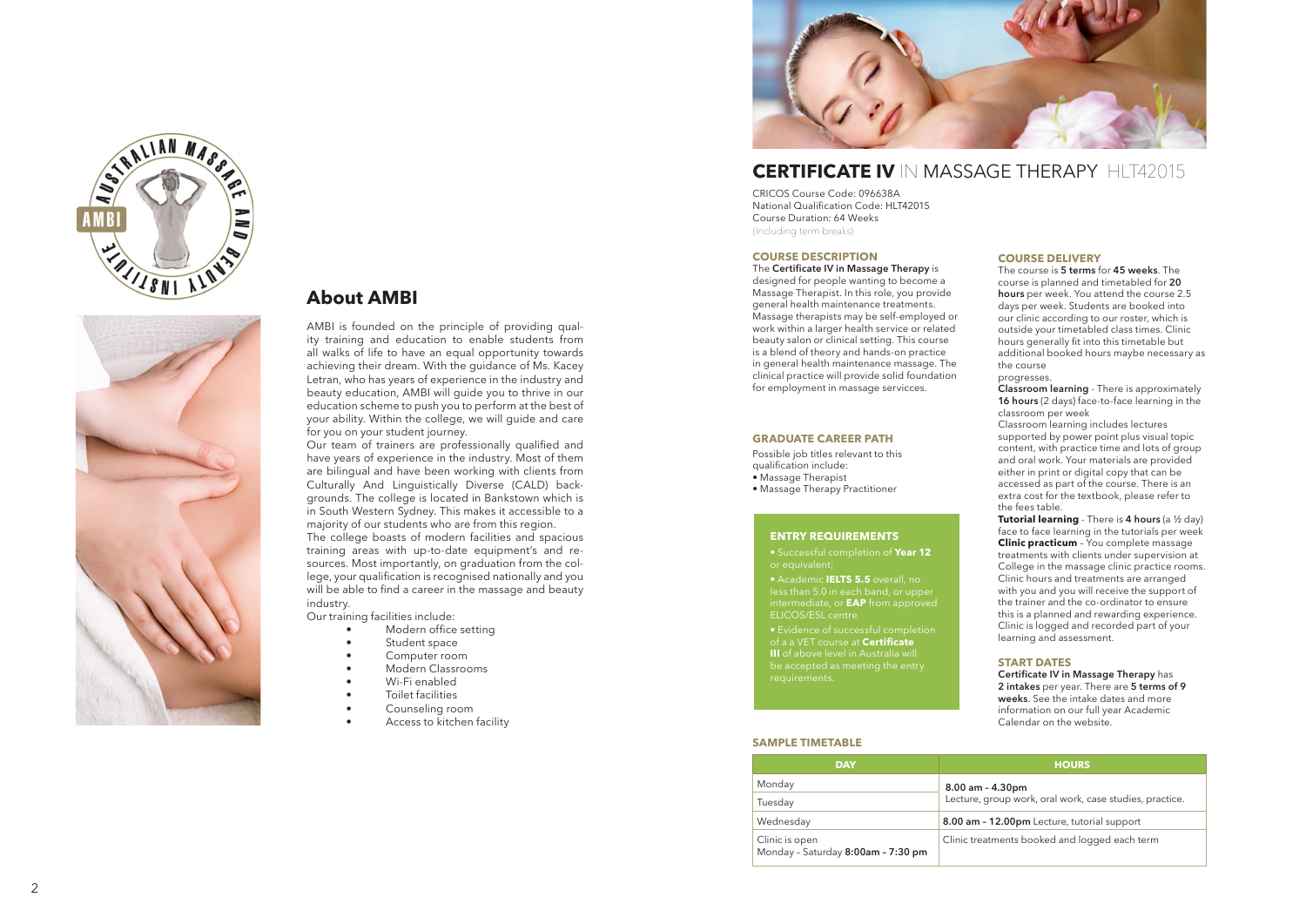

# **CERTIFICATE IV IN MASSAGE THERAPY HIT42015**

CRICOS Course Code: 096638A National Qualification Code: HLT42015 Course Duration: 64 Weeks (Including term breaks)

## **COURSE DESCRIPTION**

The **Certificate IV in Massage Therapy** is

designed for people wanting to become a Massage Therapist. In this role, you provide general health maintenance treatments. Massage therapists may be self-employed or work within a larger health service or related beauty salon or clinical setting. This course is a blend of theory and hands-on practice in general health maintenance massage. The clinical practice will provide solid foundation for employment in massage servicces.

# **GRADUATE CAREER PATH**

Possible job titles relevant to this qualification include:

- Massage Therapist
- Massage Therapy Practitioner

# **ENTRY REQUIREMENTS**

• Successful completion of **Year 12** or equivalent;

• Academic **IELTS 5.5** overall, no less than 5.0 in each band, or upper intermediate, or **EAP** from approved ELICOS/ESL centre

of a a VET course at **Certificate III** of above level in Australia will

## **COURSE DELIVERY**

The course is **5 terms** for **45 weeks**. The course is planned and timetabled for **20 hours** per week. You attend the course 2.5 days per week. Students are booked into our clinic according to our roster, which is outside your timetabled class times. Clinic hours generally fit into this timetable but additional booked hours maybe necessary as the course

progresses.

**Classroom learning** - There is approximately **16 hours** (2 days) face-to-face learning in the classroom per week

Classroom learning includes lectures supported by power point plus visual topic content, with practice time and lots of group and oral work. Your materials are provided either in print or digital copy that can be accessed as part of the course. There is an extra cost for the textbook, please refer to the fees table.

**Tutorial learning** - There is **4 hours** (a ½ day) face to face learning in the tutorials per week **Clinic practicum** – You complete massage treatments with clients under supervision at College in the massage clinic practice rooms. Clinic hours and treatments are arranged with you and you will receive the support of the trainer and the co-ordinator to ensure this is a planned and rewarding experience. Clinic is logged and recorded part of your learning and assessment.

## **START DATES**

**Certificate IV in Massage Therapy** has **2 intakes** per year. There are **5 terms of 9 weeks**. See the intake dates and more information on our full year Academic Calendar on the website.

| <b>DAY</b>                                           | <b>HOURS</b>                                            |  |
|------------------------------------------------------|---------------------------------------------------------|--|
| Monday                                               | $8.00$ am - $4.30$ pm                                   |  |
| Tuesday                                              | Lecture, group work, oral work, case studies, practice. |  |
| Wednesday                                            | 8.00 am - 12.00pm Lecture, tutorial support             |  |
| Clinic is open<br>Monday - Saturday 8:00am - 7:30 pm | Clinic treatments booked and logged each term           |  |

## **SAMPLE TIMETABLE**